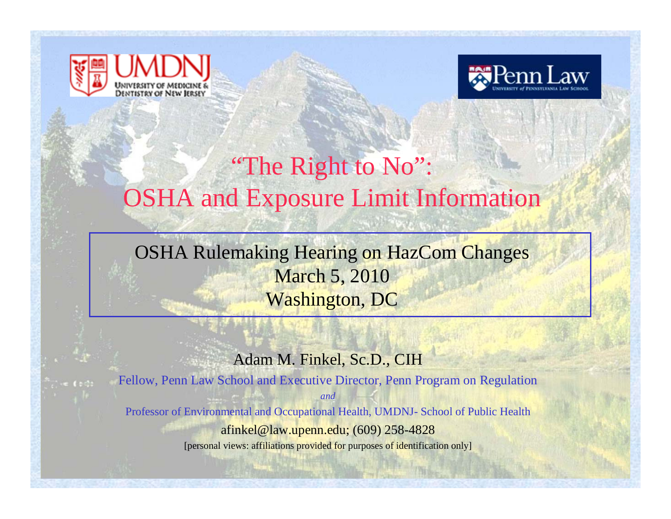



## "The Right to No": OSHA and Exposure Limit Information

OSHA Rulemaking Hearing on HazCom Changes March 5, 2010 Washington, DC

#### Adam M. Finkel, Sc.D., CIH

Fellow, Penn Law School and Executive Director, Penn Program on Regulation *and*Professor of Environmental and Occupational Health, UMDNJ- School of Public Health afinkel@law.upenn.edu; (609) 258-4828 [personal views: affiliations provided for purposes of identification only]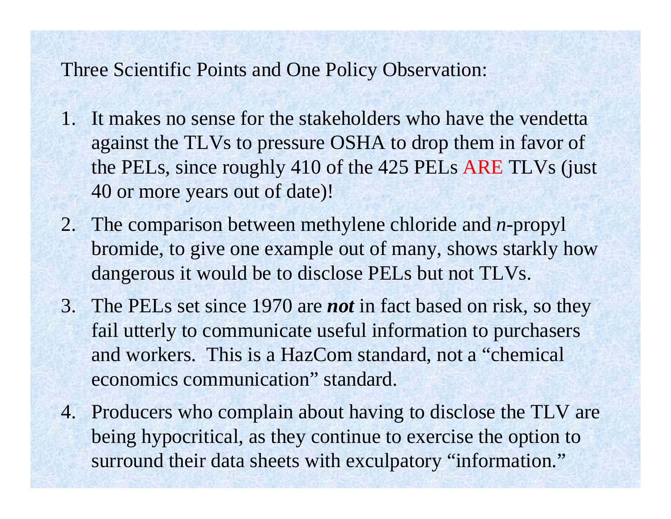### Three Scientific Points and One Policy Observation:

- 1. It makes no sense for the stakeholders who have the vendetta against the TLVs to pressure OSHA to drop them in favor of the PELs, since roughly 410 of the 425 PELs ARE TLVs (just 40 or more years out of date)!
- 2. The comparison between methylene chloride and *<sup>n</sup>*-propyl bromide, to give one example out of many, shows starkly how dangerous it would be to disclose PELs but not TLVs.
- 3. The PELs set since 1970 are *not* in fact based on risk, so they fail utterly to communicate useful information to purchasers and workers. This is a HazCom standard, not a "chemical economics communication" standard.
- 4. Producers who complain about having to disclose the TLV are being hypocritical, as they continue to exercise the option to surround their data sheets with exculpatory "information."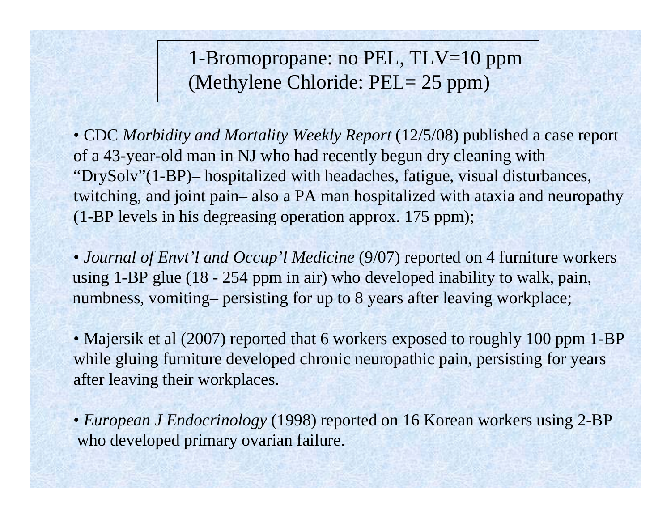1-Bromopropane: no PEL, TLV=10 ppm (Methylene Chloride: PEL= 25 ppm)

• CDC *Morbidity and Mortality Weekly Report* (12/5/08) published a case report of a 43-year-old man in NJ who had recently begun dry cleaning with "DrySolv"(1-BP)– hospitalized with headaches, fatigue, visual disturbances, twitching, and joint pain– also a PA man hospitalized with ataxia and neuropathy (1-BP levels in his degreasing operation approx. 175 ppm);

• *Journal of Envt'l and Occup'l Medicine* (9/07) reported on 4 furniture workers using 1-BP glue (18 - 254 ppm in air) who developed inability to walk, pain, numbness, vomiting– persisting for up to 8 years after leaving workplace;

• Majersik et al (2007) reported that 6 workers exposed to roughly 100 ppm 1-BP while gluing furniture developed chronic neuropathic pain, persisting for years after leaving their workplaces.

• *European J Endocrinology* (1998) reported on 16 Korean workers using 2-BP who developed primary ovarian failure.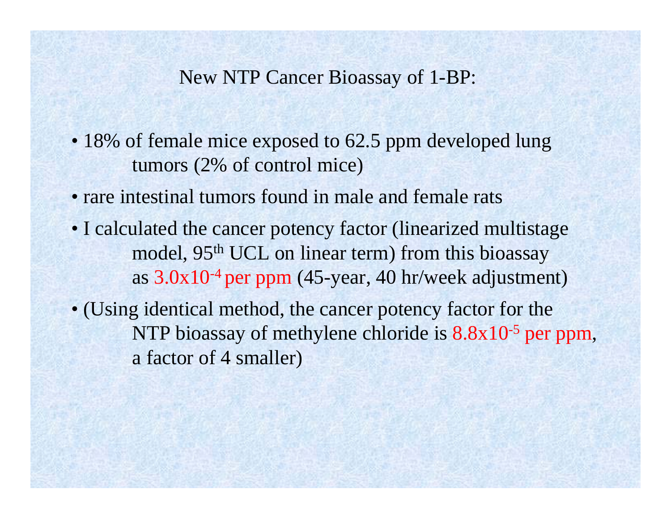### New NTP Cancer Bioassay of 1-BP:

- 18% of female mice exposed to 62.5 ppm developed lung tumors (2% of control mice)
- rare intestinal tumors found in male and female rats
- I calculated the cancer potency factor (linearized multistage model, 95<sup>th</sup> UCL on linear term) from this bioassay as  $3.0x10^{-4}$  per ppm (45-year, 40 hr/week adjustment)
- (Using identical method, the cancer potency factor for the NTP bioassay of methylene chloride is  $8.8x10^{-5}$  per ppm, a factor of 4 smaller)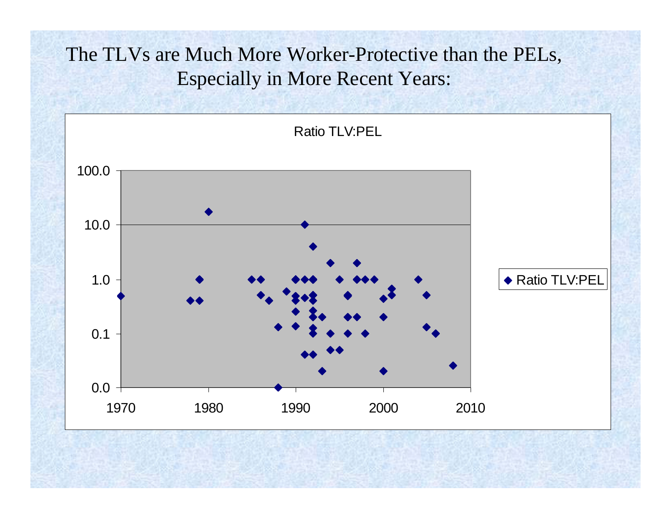## The TLVs are Much More Worker-Protective than the PELs, Especially in More Recent Years:

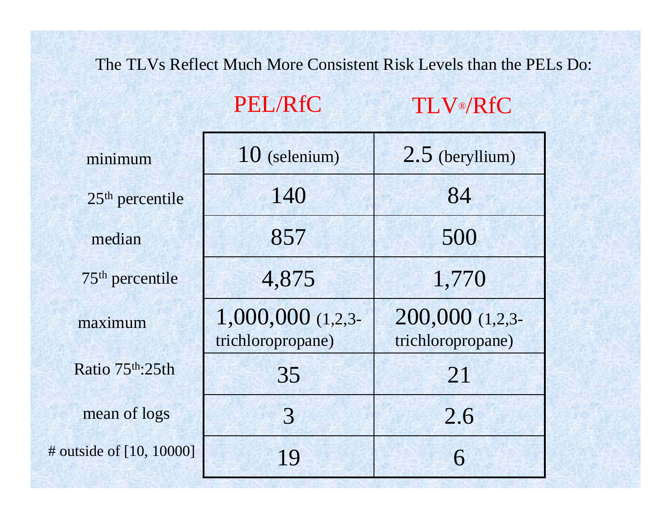#### The TLVs Reflect Much More Consistent Risk Levels than the PELs Do:

#### PEL/RfCTLV®/RfC

| minimum                  | $10$ (selenium)                            | $2.5$ (beryllium)                    |
|--------------------------|--------------------------------------------|--------------------------------------|
| $25th$ percentile        | 140                                        | 84                                   |
| median                   | 857                                        | 500                                  |
| $75th$ percentile        | 4,875                                      | 1,770                                |
| maximum                  | $1,000,000$ $(1,2,3-$<br>trichloropropane) | 200,000 (1,2,3-<br>trichloropropane) |
| Ratio 75th: 25th         | 35                                         | 21                                   |
| mean of logs             | 3                                          | 2.6                                  |
| # outside of [10, 10000] | 19                                         | 6                                    |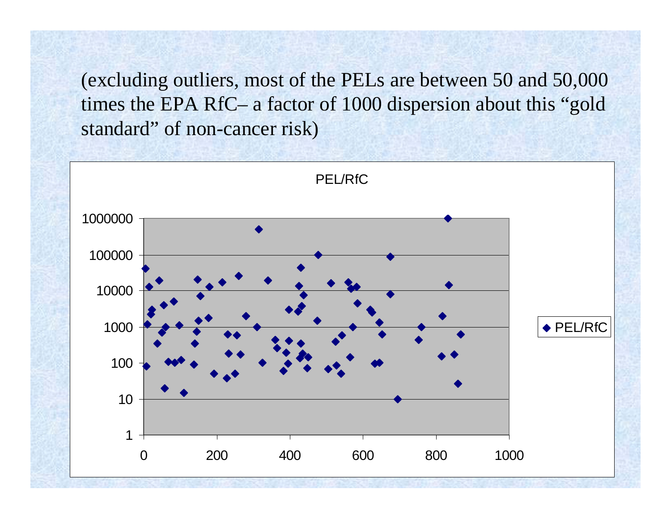(excluding outliers, most of the PELs are between 50 and 50,000 times the EPA RfC– a factor of 1000 dispersion about this "gold standard" of non-cancer risk)

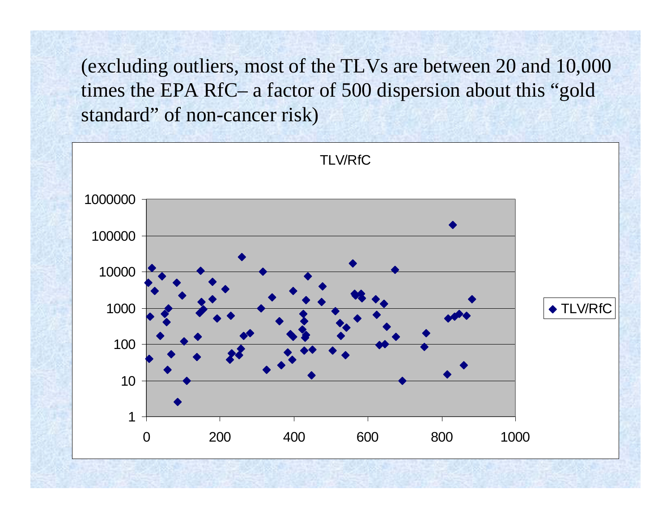(excluding outliers, most of the TLVs are between 20 and 10,000 times the EPA RfC– a factor of 500 dispersion about this "gold standard" of non-cancer risk)

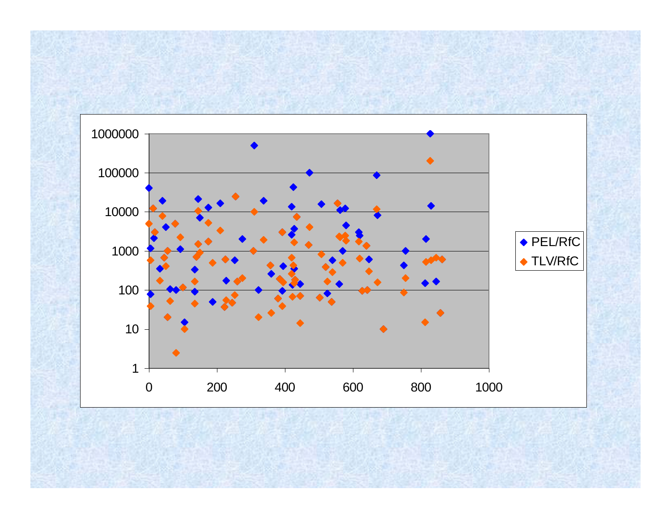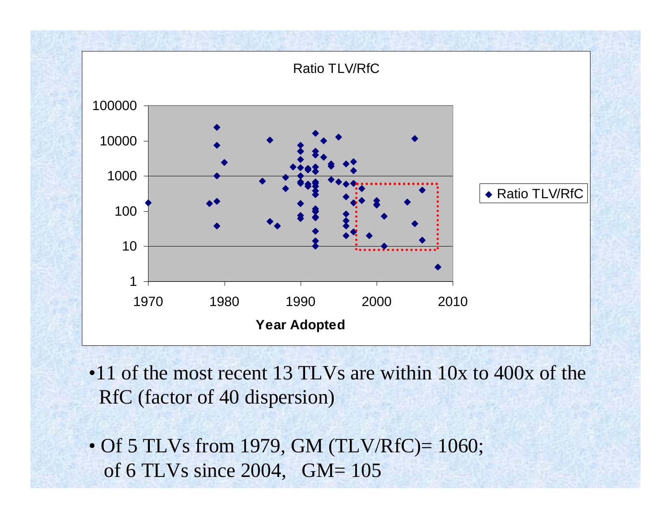

- •11 of the most recent 13 TLVs are within 10x to 400x of the RfC (factor of 40 dispersion)
- Of 5 TLVs from 1979, GM (TLV/RfC)= 1060; of 6 TLVs since 2004, GM= 105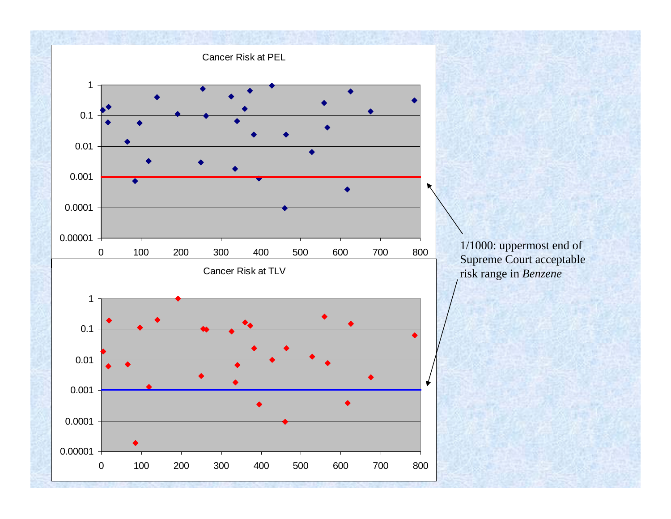

1/1000: uppermost end of Supreme Court acceptable risk range in *Benzene*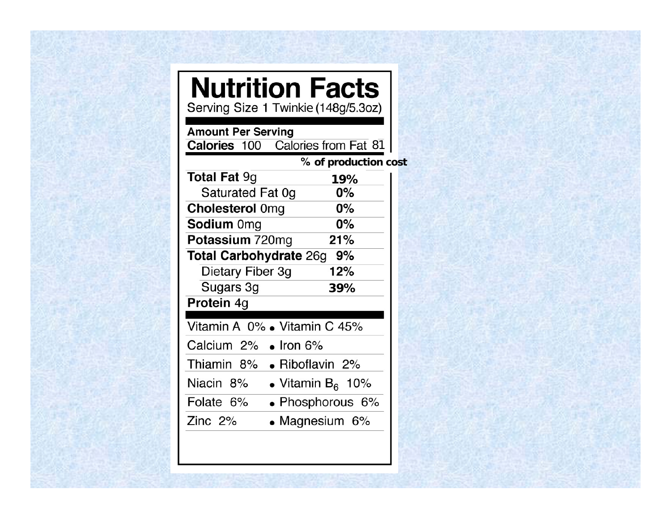# **Nutrition Facts**

Twinkie

**Amount Per Serving** 

**Calories** 100 Calories from Fat 81

**of production cost**

| <b>Total Fat 9g</b>             | 19%                 |  |
|---------------------------------|---------------------|--|
| Saturated Fat 0g                | 0%                  |  |
| <b>Cholesterol Omg</b>          | 0%                  |  |
| <b>Sodium Omg</b>               | 0%                  |  |
| Potassium 720mg                 | 21%                 |  |
| <b>Total Carbohydrate 26g</b>   | 9%                  |  |
| Dietary Fiber 3g                | 12%                 |  |
| Sugars 3g                       | 39%                 |  |
| Protein 4g                      |                     |  |
| Vitamin A 0% . Vitamin C 45%    |                     |  |
| Calcium 2%<br>$\bullet$ Iron 6% |                     |  |
| Thiamin 8%<br>• Riboflavin 2%   |                     |  |
| Niacin 8%                       | • Vitamin $B_6$ 10% |  |
| Folate 6%                       | • Phosphorous 6%    |  |
| Zinc $2\%$                      | • Magnesium $6\%$   |  |
|                                 |                     |  |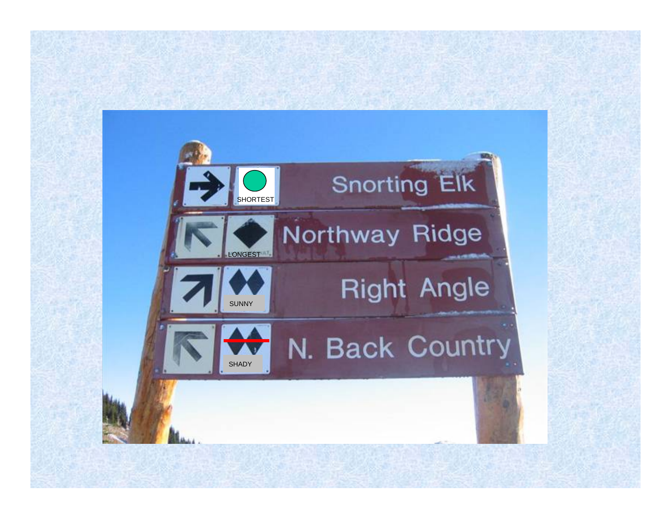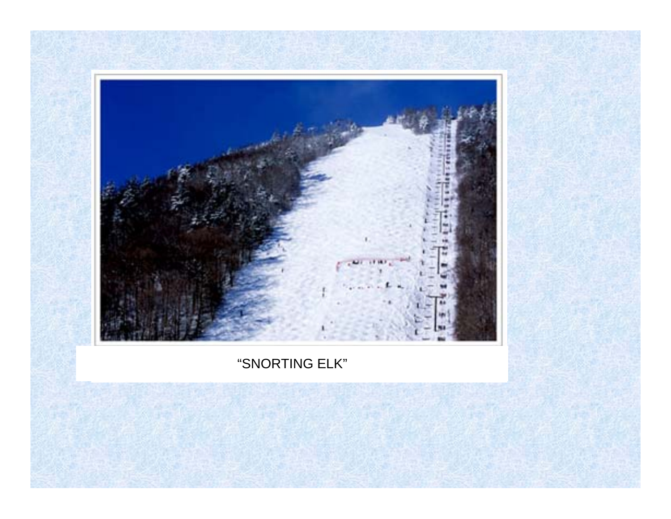

### "SNORTING ELK"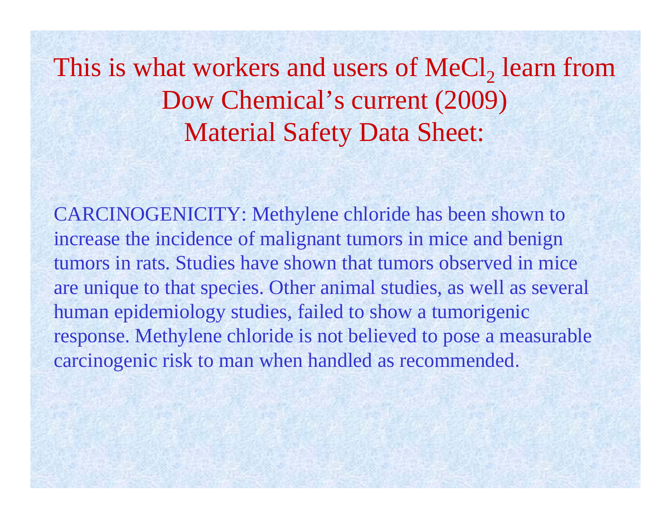This is what workers and users of  $\text{MeCl}_2$  learn from Dow Chemical's current (2009) Material Safety Data Sheet:

CARCINOGENICITY: Methylene chloride has been shown to increase the incidence of malignant tumors in mice and benign tumors in rats. Studies have shown that tumors observed in mice are unique to that species. Other animal studies, as well as several human epidemiology studies, failed to show a tumorigenic response. Methylene chloride is not believed to pose a measurable carcinogenic risk to man when handled as recommended.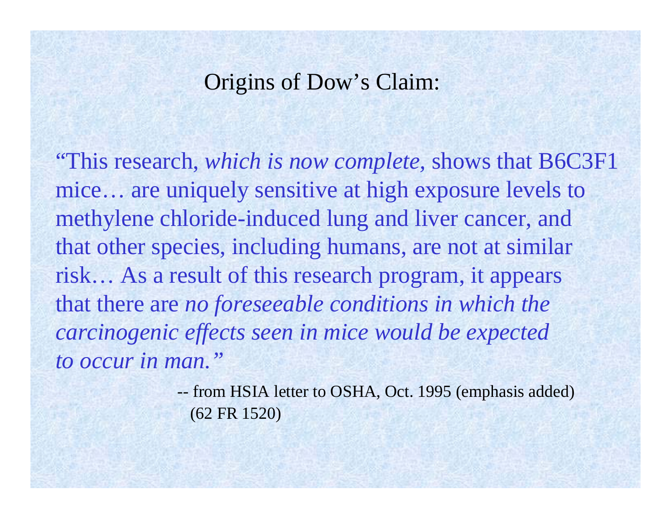## Origins of Dow's Claim:

"This research, *which is now complete,* shows that B6C3F1 mice… are uniquely sensitive at high exposure levels to methylene chloride-induced lung and liver cancer, and that other species, including humans, are not at similar risk… As a result of this research program, it appears that there are *no foreseeable conditions in which the carcinogenic effects seen in mice would be expected to occur in man."*

> - from HSIA letter to OSHA, Oct. 1995 (emphasis added) (62 FR 1520)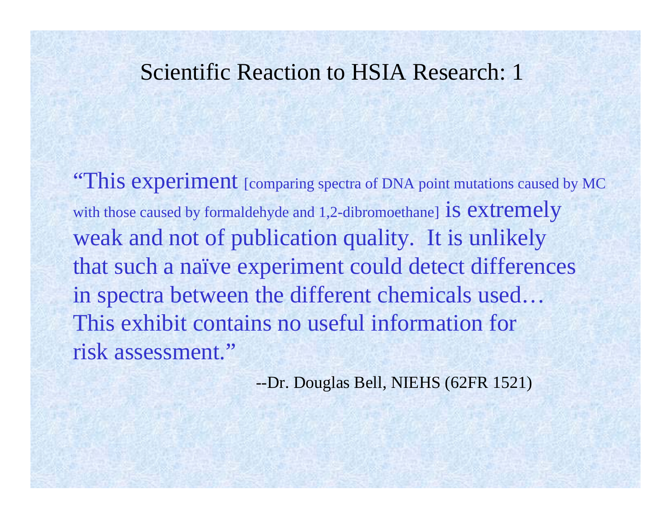### Scientific Reaction to HSIA Research: 1

**"This experiment** [comparing spectra of DNA point mutations caused by MC with those caused by formaldehyde and 1,2-dibromoethane] **is extremely** weak and not of publication quality. It is unlikely that such a naïve experiment could detect differences in spectra between the different chemicals used… This exhibit contains no useful information forrisk assessment."

--Dr. Douglas Bell, NIEHS (62FR 1521)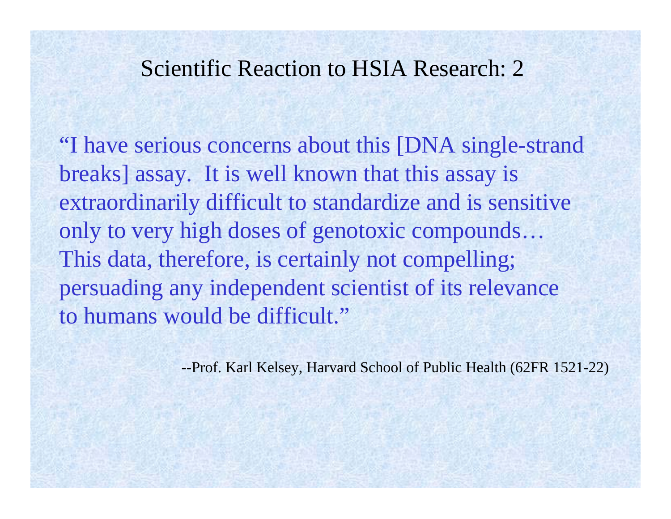## Scientific Reaction to HSIA Research: 2

"I have serious concerns about this [DNA single-strand breaks] assay. It is well known that this assay is extraordinarily difficult to standardize and is sensitive only to very high doses of genotoxic compounds… This data, therefore, is certainly not compelling; persuading any independent scientist of its relevance to humans would be difficult."

--Prof. Karl Kelsey, Harvard School of Public Health (62FR 1521-22)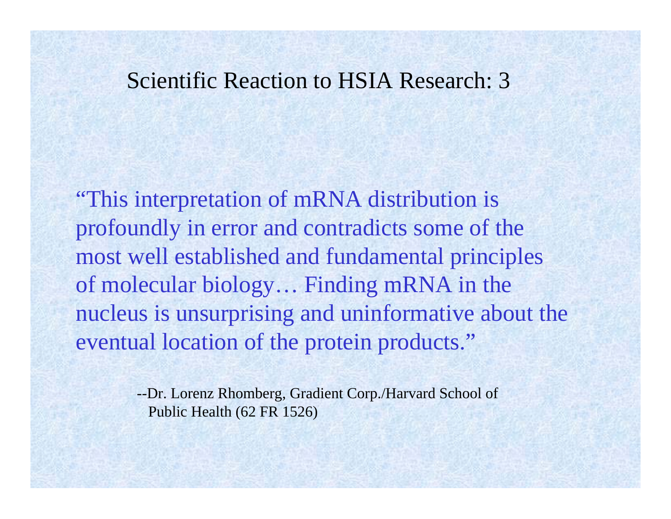## Scientific Reaction to HSIA Research: 3

"This interpretation of mRNA distribution is profoundly in error and contradicts some of the most well established and fundamental principles of molecular biology… Finding mRNA in the nucleus is unsurprising and uninformative about the eventual location of the protein products."

> --Dr. Lorenz Rhomberg, Gradient Corp./Harvard School of Public Health (62 FR 1526)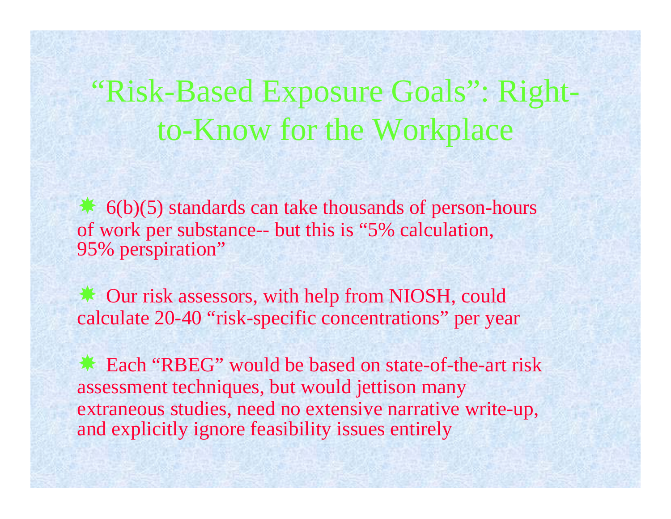## "Risk-Based Exposure Goals": Rightto-Know for the Workplace

\* 6(b)(5) standards can take thousands of person-hours of work per substance-- but this is "5% calculation, 95% perspiration"

 Our risk assessors, with help from NIOSH, could calculate 20-40 "risk-specific concentrations" per year

\* Each "RBEG" would be based on state-of-the-art risk assessment techniques, but would jettison many extraneous studies, need no extensive narrative write-up, and explicitly ignore feasibility issues entirely